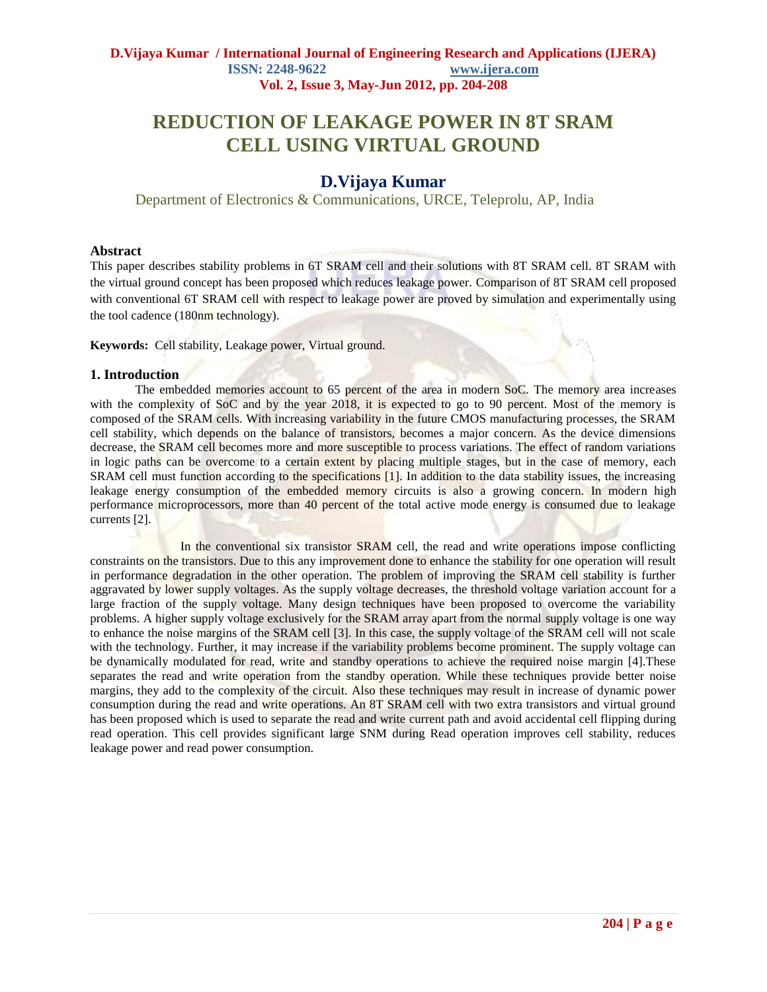# **REDUCTION OF LEAKAGE POWER IN 8T SRAM CELL USING VIRTUAL GROUND**

## **D.Vijaya Kumar**

Department of Electronics & Communications, URCE, Teleprolu, AP, India

## **Abstract**

This paper describes stability problems in 6T SRAM cell and their solutions with 8T SRAM cell. 8T SRAM with the virtual ground concept has been proposed which reduces leakage power. Comparison of 8T SRAM cell proposed with conventional 6T SRAM cell with respect to leakage power are proved by simulation and experimentally using the tool cadence (180nm technology).

**Keywords:** Cell stability, Leakage power, Virtual ground.

### **1. Introduction**

The embedded memories account to 65 percent of the area in modern SoC. The memory area increases with the complexity of SoC and by the year 2018, it is expected to go to 90 percent. Most of the memory is composed of the SRAM cells. With increasing variability in the future CMOS manufacturing processes, the SRAM cell stability, which depends on the balance of transistors, becomes a major concern. As the device dimensions decrease, the SRAM cell becomes more and more susceptible to process variations. The effect of random variations in logic paths can be overcome to a certain extent by placing multiple stages, but in the case of memory, each SRAM cell must function according to the specifications [1]. In addition to the data stability issues, the increasing leakage energy consumption of the embedded memory circuits is also a growing concern. In modern high performance microprocessors, more than 40 percent of the total active mode energy is consumed due to leakage currents [2].

In the conventional six transistor SRAM cell, the read and write operations impose conflicting constraints on the transistors. Due to this any improvement done to enhance the stability for one operation will result in performance degradation in the other operation. The problem of improving the SRAM cell stability is further aggravated by lower supply voltages. As the supply voltage decreases, the threshold voltage variation account for a large fraction of the supply voltage. Many design techniques have been proposed to overcome the variability problems. A higher supply voltage exclusively for the SRAM array apart from the normal supply voltage is one way to enhance the noise margins of the SRAM cell [3]. In this case, the supply voltage of the SRAM cell will not scale with the technology. Further, it may increase if the variability problems become prominent. The supply voltage can be dynamically modulated for read, write and standby operations to achieve the required noise margin [4].These separates the read and write operation from the standby operation. While these techniques provide better noise margins, they add to the complexity of the circuit. Also these techniques may result in increase of dynamic power consumption during the read and write operations. An 8T SRAM cell with two extra transistors and virtual ground has been proposed which is used to separate the read and write current path and avoid accidental cell flipping during read operation. This cell provides significant large SNM during Read operation improves cell stability, reduces leakage power and read power consumption.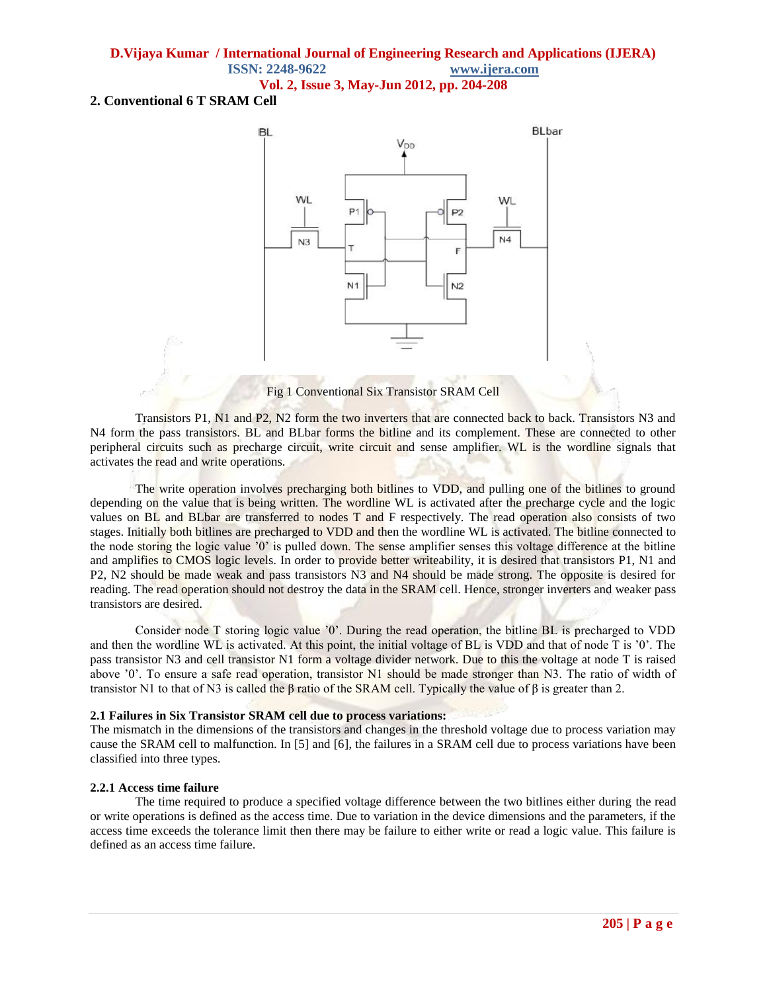## **2. Conventional 6 T SRAM Cell**



Fig 1 Conventional Six Transistor SRAM Cell

Transistors P1, N1 and P2, N2 form the two inverters that are connected back to back. Transistors N3 and N4 form the pass transistors. BL and BLbar forms the bitline and its complement. These are connected to other peripheral circuits such as precharge circuit, write circuit and sense amplifier. WL is the wordline signals that activates the read and write operations.

The write operation involves precharging both bitlines to VDD, and pulling one of the bitlines to ground depending on the value that is being written. The wordline WL is activated after the precharge cycle and the logic values on BL and BLbar are transferred to nodes T and F respectively. The read operation also consists of two stages. Initially both bitlines are precharged to VDD and then the wordline WL is activated. The bitline connected to the node storing the logic value "0" is pulled down. The sense amplifier senses this voltage difference at the bitline and amplifies to CMOS logic levels. In order to provide better writeability, it is desired that transistors P1, N1 and P2, N2 should be made weak and pass transistors N3 and N4 should be made strong. The opposite is desired for reading. The read operation should not destroy the data in the SRAM cell. Hence, stronger inverters and weaker pass transistors are desired.

Consider node T storing logic value "0". During the read operation, the bitline BL is precharged to VDD and then the wordline WL is activated. At this point, the initial voltage of BL is VDD and that of node T is "0". The pass transistor N3 and cell transistor N1 form a voltage divider network. Due to this the voltage at node T is raised above "0". To ensure a safe read operation, transistor N1 should be made stronger than N3. The ratio of width of transistor N1 to that of N3 is called the β ratio of the SRAM cell. Typically the value of β is greater than 2.

#### **2.1 Failures in Six Transistor SRAM cell due to process variations:**

The mismatch in the dimensions of the transistors and changes in the threshold voltage due to process variation may cause the SRAM cell to malfunction. In [5] and [6], the failures in a SRAM cell due to process variations have been classified into three types.

#### **2.2.1 Access time failure**

The time required to produce a specified voltage difference between the two bitlines either during the read or write operations is defined as the access time. Due to variation in the device dimensions and the parameters, if the access time exceeds the tolerance limit then there may be failure to either write or read a logic value. This failure is defined as an access time failure.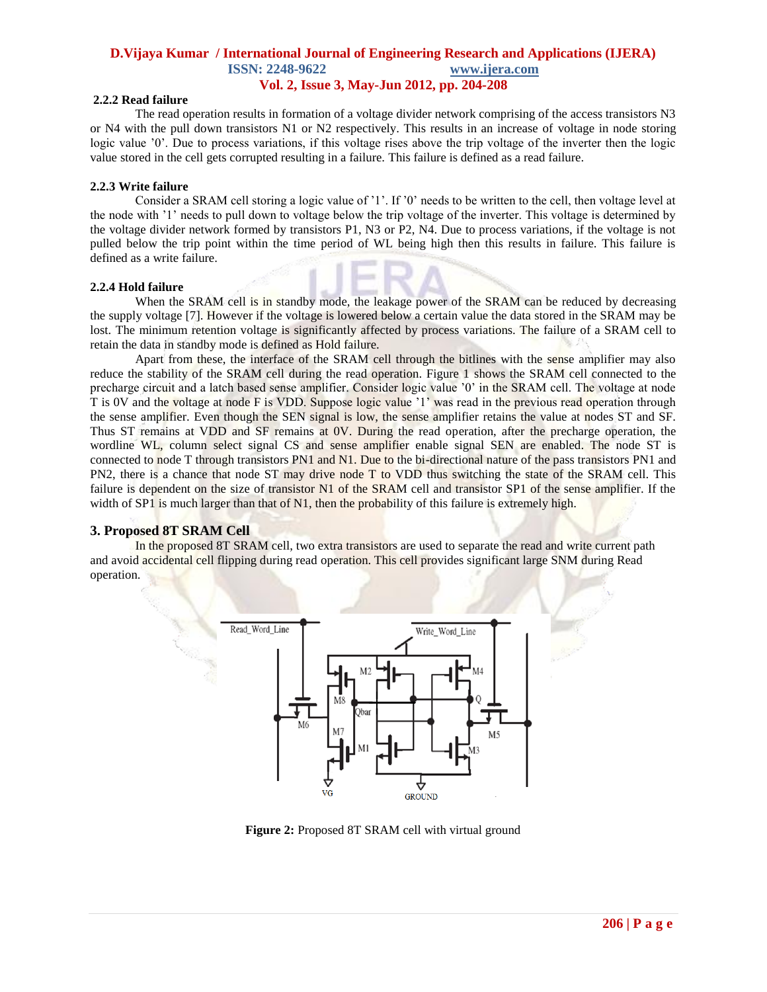#### **2.2.2 Read failure**

The read operation results in formation of a voltage divider network comprising of the access transistors N3 or N4 with the pull down transistors N1 or N2 respectively. This results in an increase of voltage in node storing logic value  $\gamma$ . Due to process variations, if this voltage rises above the trip voltage of the inverter then the logic value stored in the cell gets corrupted resulting in a failure. This failure is defined as a read failure.

#### **2.2.3 Write failure**

Consider a SRAM cell storing a logic value of "1". If "0" needs to be written to the cell, then voltage level at the node with "1" needs to pull down to voltage below the trip voltage of the inverter. This voltage is determined by the voltage divider network formed by transistors P1, N3 or P2, N4. Due to process variations, if the voltage is not pulled below the trip point within the time period of WL being high then this results in failure. This failure is defined as a write failure.

#### **2.2.4 Hold failure**

When the SRAM cell is in standby mode, the leakage power of the SRAM can be reduced by decreasing the supply voltage [7]. However if the voltage is lowered below a certain value the data stored in the SRAM may be lost. The minimum retention voltage is significantly affected by process variations. The failure of a SRAM cell to retain the data in standby mode is defined as Hold failure.

Apart from these, the interface of the SRAM cell through the bitlines with the sense amplifier may also reduce the stability of the SRAM cell during the read operation. Figure 1 shows the SRAM cell connected to the precharge circuit and a latch based sense amplifier. Consider logic value "0" in the SRAM cell. The voltage at node T is 0V and the voltage at node F is VDD. Suppose logic value "1" was read in the previous read operation through the sense amplifier. Even though the SEN signal is low, the sense amplifier retains the value at nodes ST and SF. Thus ST remains at VDD and SF remains at 0V. During the read operation, after the precharge operation, the wordline WL, column select signal CS and sense amplifier enable signal SEN are enabled. The node ST is connected to node T through transistors PN1 and N1. Due to the bi-directional nature of the pass transistors PN1 and PN2, there is a chance that node ST may drive node T to VDD thus switching the state of the SRAM cell. This failure is dependent on the size of transistor N1 of the SRAM cell and transistor SP1 of the sense amplifier. If the width of SP1 is much larger than that of N1, then the probability of this failure is extremely high.

## **3. Proposed 8T SRAM Cell**

In the proposed 8T SRAM cell, two extra transistors are used to separate the read and write current path and avoid accidental cell flipping during read operation. This cell provides significant large SNM during Read operation.



**Figure 2:** Proposed 8T SRAM cell with virtual ground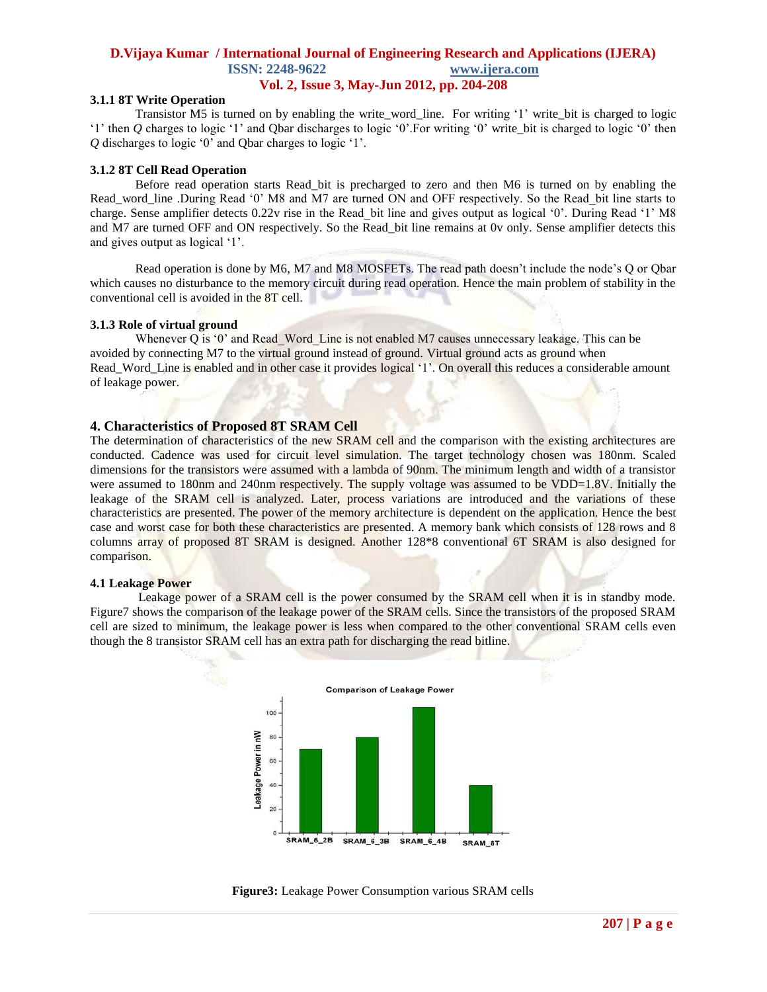#### **3.1.1 8T Write Operation**

Transistor M5 is turned on by enabling the write\_word\_line*.* For writing "1" write\_bit is charged to logic "1" then *Q* charges to logic "1" and Qbar discharges to logic "0". For writing "0" write bit is charged to logic "0" then *Q* discharges to logic "0" and Qbar charges to logic "1".

#### **3.1.2 8T Cell Read Operation**

Before read operation starts Read\_bit is precharged to zero and then M6 is turned on by enabling the Read word line .During Read '0' M8 and M7 are turned ON and OFF respectively. So the Read bit line starts to charge. Sense amplifier detects 0.22v rise in the Read bit line and gives output as logical '0'. During Read '1' M8 and M7 are turned OFF and ON respectively. So the Read\_bit line remains at 0v only. Sense amplifier detects this and gives output as logical "1".

Read operation is done by M6, M7 and M8 MOSFETs. The read path doesn't include the node's Q or Qbar which causes no disturbance to the memory circuit during read operation. Hence the main problem of stability in the conventional cell is avoided in the 8T cell.

#### **3.1.3 Role of virtual ground**

Whenever Q is  $0'$  and Read Word Line is not enabled M7 causes unnecessary leakage. This can be avoided by connecting M7 to the virtual ground instead of ground. Virtual ground acts as ground when Read Word Line is enabled and in other case it provides logical '1'. On overall this reduces a considerable amount of leakage power.

#### **4. Characteristics of Proposed 8T SRAM Cell**

The determination of characteristics of the new SRAM cell and the comparison with the existing architectures are conducted. Cadence was used for circuit level simulation. The target technology chosen was 180nm. Scaled dimensions for the transistors were assumed with a lambda of 90nm. The minimum length and width of a transistor were assumed to 180nm and 240nm respectively. The supply voltage was assumed to be VDD=1.8V. Initially the leakage of the SRAM cell is analyzed. Later, process variations are introduced and the variations of these characteristics are presented. The power of the memory architecture is dependent on the application. Hence the best case and worst case for both these characteristics are presented. A memory bank which consists of 128 rows and 8 columns array of proposed 8T SRAM is designed. Another 128\*8 conventional 6T SRAM is also designed for comparison.

#### **4.1 Leakage Power**

Leakage power of a SRAM cell is the power consumed by the SRAM cell when it is in standby mode. Figure7 shows the comparison of the leakage power of the SRAM cells. Since the transistors of the proposed SRAM cell are sized to minimum, the leakage power is less when compared to the other conventional SRAM cells even though the 8 transistor SRAM cell has an extra path for discharging the read bitline.